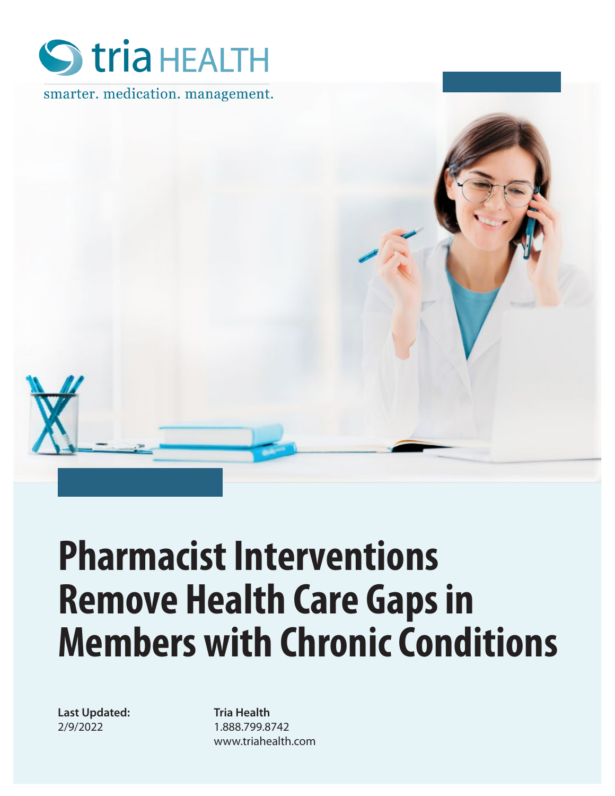

smarter. medication. management.



# **Pharmacist Interventions Remove Health Care Gaps in Members with Chronic Conditions**

**Last Updated:** 2/9/2022

**Tria Health** 1.888.799.8742 www.triahealth.com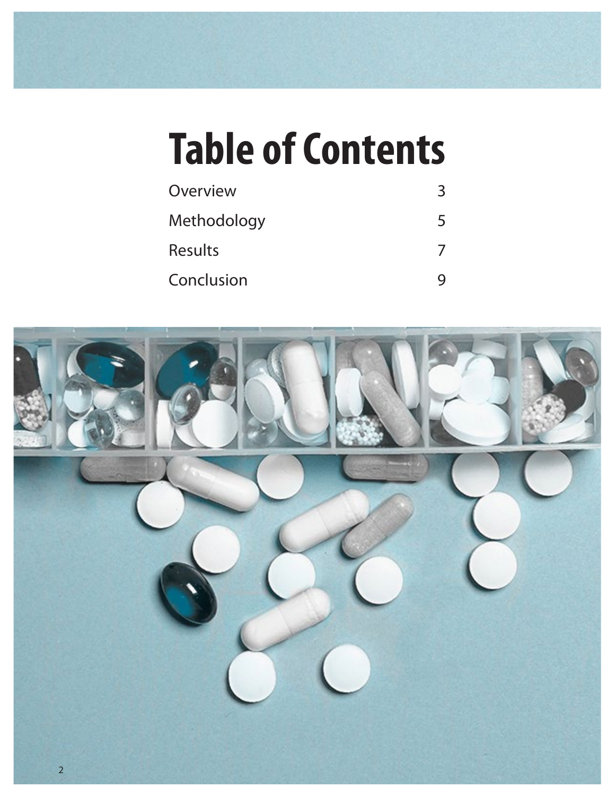# **Table of Contents**

| Overview       |  |
|----------------|--|
| Methodology    |  |
| <b>Results</b> |  |
| Conclusion     |  |

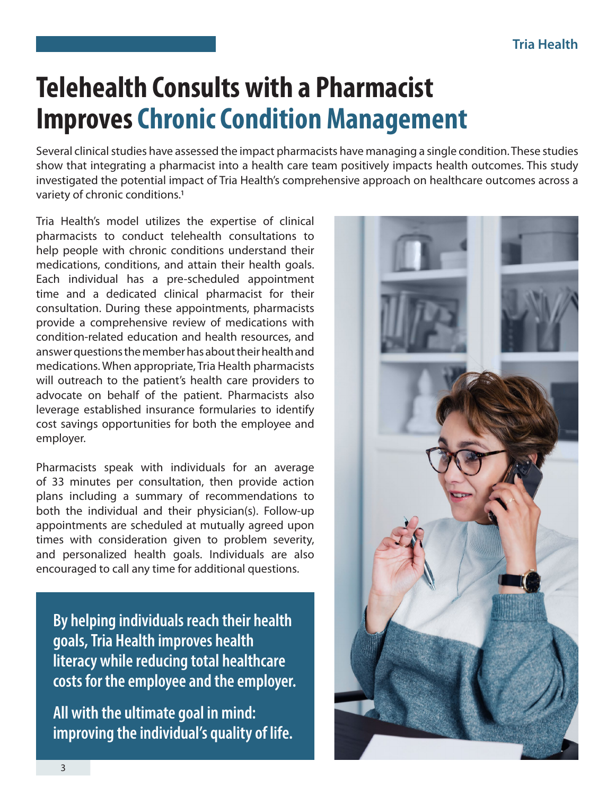## **Telehealth Consults with a Pharmacist Improves Chronic Condition Management**

Several clinical studies have assessed the impact pharmacists have managing a single condition. These studies show that integrating a pharmacist into a health care team positively impacts health outcomes. This study investigated the potential impact of Tria Health's comprehensive approach on healthcare outcomes across a variety of chronic conditions.1

Tria Health's model utilizes the expertise of clinical pharmacists to conduct telehealth consultations to help people with chronic conditions understand their medications, conditions, and attain their health goals. Each individual has a pre-scheduled appointment time and a dedicated clinical pharmacist for their consultation. During these appointments, pharmacists provide a comprehensive review of medications with condition-related education and health resources, and answer questions the member has about their health and medications. When appropriate, Tria Health pharmacists will outreach to the patient's health care providers to advocate on behalf of the patient. Pharmacists also leverage established insurance formularies to identify cost savings opportunities for both the employee and employer.

Pharmacists speak with individuals for an average of 33 minutes per consultation, then provide action plans including a summary of recommendations to both the individual and their physician(s). Follow-up appointments are scheduled at mutually agreed upon times with consideration given to problem severity, and personalized health goals. Individuals are also encouraged to call any time for additional questions.

**By helping individuals reach their health goals, Tria Health improves health literacy while reducing total healthcare costs for the employee and the employer.**

**All with the ultimate goal in mind: improving the individual's quality of life.**

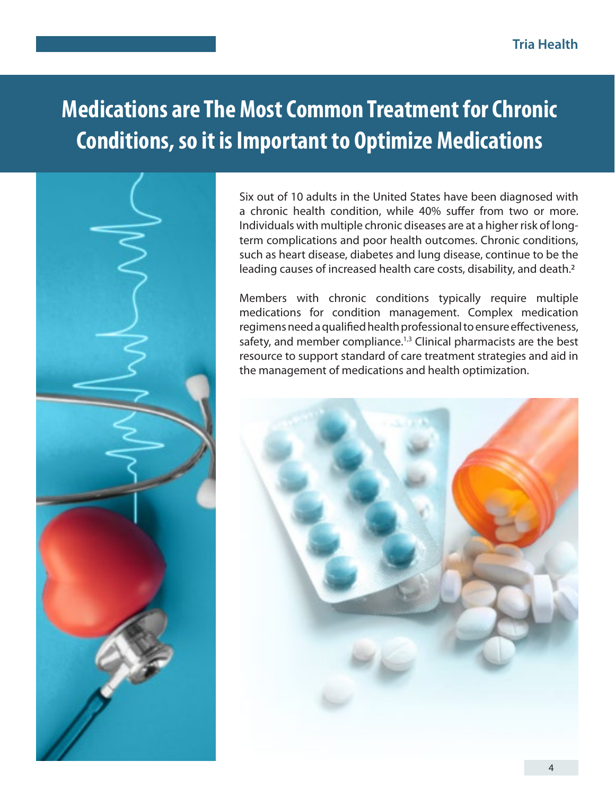### **Medications are The Most Common Treatment for Chronic Conditions, so it is Important to Optimize Medications**

Six out of 10 adults in the United States have been diagnosed with a chronic health condition, while 40% suffer from two or more. Individuals with multiple chronic diseases are at a higher risk of longterm complications and poor health outcomes. Chronic conditions, such as heart disease, diabetes and lung disease, continue to be the leading causes of increased health care costs, disability, and death.2

Members with chronic conditions typically require multiple medications for condition management. Complex medication regimens need a qualified health professional to ensure effectiveness, safety, and member compliance.<sup>1,3</sup> Clinical pharmacists are the best resource to support standard of care treatment strategies and aid in the management of medications and health optimization.

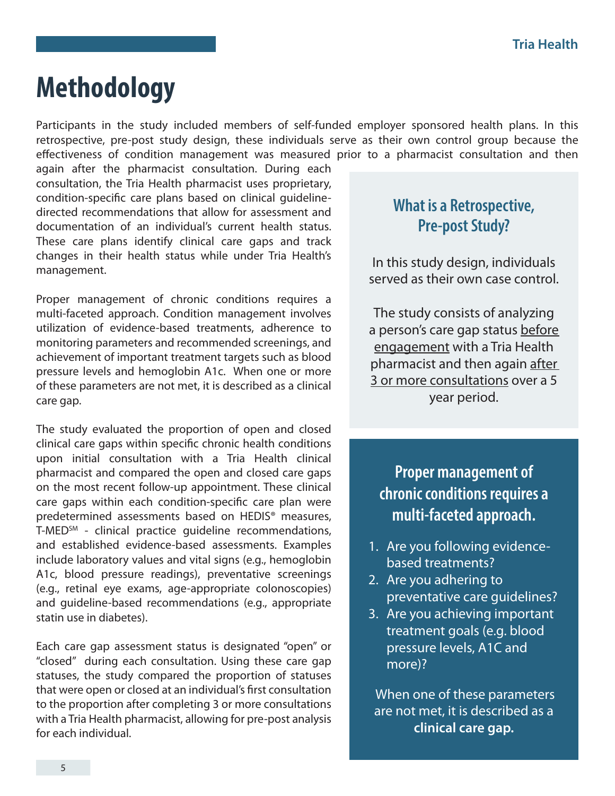### **Methodology**

Participants in the study included members of self-funded employer sponsored health plans. In this retrospective, pre-post study design, these individuals serve as their own control group because the effectiveness of condition management was measured prior to a pharmacist consultation and then

again after the pharmacist consultation. During each consultation, the Tria Health pharmacist uses proprietary, condition-specific care plans based on clinical guidelinedirected recommendations that allow for assessment and documentation of an individual's current health status. These care plans identify clinical care gaps and track changes in their health status while under Tria Health's management.

Proper management of chronic conditions requires a multi-faceted approach. Condition management involves utilization of evidence-based treatments, adherence to monitoring parameters and recommended screenings, and achievement of important treatment targets such as blood pressure levels and hemoglobin A1c. When one or more of these parameters are not met, it is described as a clinical care gap.

The study evaluated the proportion of open and closed clinical care gaps within specific chronic health conditions upon initial consultation with a Tria Health clinical pharmacist and compared the open and closed care gaps on the most recent follow-up appointment. These clinical care gaps within each condition-specific care plan were predetermined assessments based on HEDIS® measures, T-MED<sup>SM</sup> - clinical practice quideline recommendations, and established evidence-based assessments. Examples include laboratory values and vital signs (e.g., hemoglobin A1c, blood pressure readings), preventative screenings (e.g., retinal eye exams, age-appropriate colonoscopies) and guideline-based recommendations (e.g., appropriate statin use in diabetes).

Each care gap assessment status is designated "open" or "closed" during each consultation. Using these care gap statuses, the study compared the proportion of statuses that were open or closed at an individual's first consultation to the proportion after completing 3 or more consultations with a Tria Health pharmacist, allowing for pre-post analysis for each individual.

#### **What is a Retrospective, Pre-post Study?**

In this study design, individuals served as their own case control.

The study consists of analyzing a person's care gap status before engagement with a Tria Health pharmacist and then again after 3 or more consultations over a 5 year period.

#### **Proper management of chronic conditions requires a multi-faceted approach.**

- 1. Are you following evidencebased treatments?
- 2. Are you adhering to preventative care guidelines?
- 3. Are you achieving important treatment goals (e.g. blood pressure levels, A1C and more)?

 When one of these parameters are not met, it is described as a **clinical care gap.**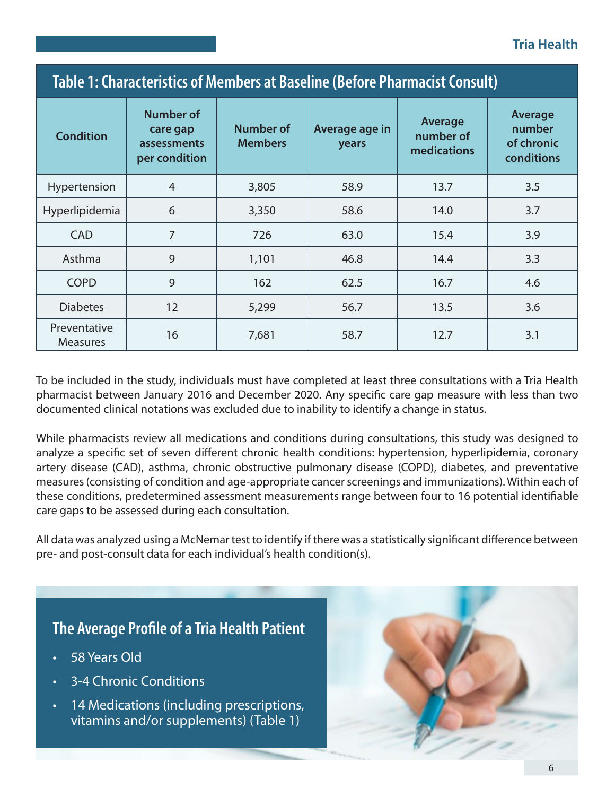#### **Tria Health**

| Table 1: Characteristics of Members at Baseline (Before Pharmacist Consult) |                                                              |                                    |                         |                                     |                                               |  |  |
|-----------------------------------------------------------------------------|--------------------------------------------------------------|------------------------------------|-------------------------|-------------------------------------|-----------------------------------------------|--|--|
| <b>Condition</b>                                                            | <b>Number of</b><br>care gap<br>assessments<br>per condition | <b>Number of</b><br><b>Members</b> | Average age in<br>years | Average<br>number of<br>medications | Average<br>number<br>of chronic<br>conditions |  |  |
| Hypertension                                                                | $\overline{4}$                                               | 3,805                              | 58.9                    | 13.7                                | 3.5                                           |  |  |
| Hyperlipidemia                                                              | 6                                                            | 3,350                              | 58.6                    | 14.0                                | 3.7                                           |  |  |
| <b>CAD</b>                                                                  | $\overline{7}$                                               | 726                                | 63.0                    | 15.4                                | 3.9                                           |  |  |
| Asthma                                                                      | 9                                                            | 1,101                              | 46.8                    | 14.4                                | 3.3                                           |  |  |
| <b>COPD</b>                                                                 | 9                                                            | 162                                | 62.5                    | 16.7                                | 4.6                                           |  |  |
| <b>Diabetes</b>                                                             | 12                                                           | 5,299                              | 56.7                    | 13.5                                | 3.6                                           |  |  |
| Preventative<br><b>Measures</b>                                             | 16                                                           | 7,681                              | 58.7                    | 12.7                                | 3.1                                           |  |  |

To be included in the study, individuals must have completed at least three consultations with a Tria Health pharmacist between January 2016 and December 2020. Any specific care gap measure with less than two documented clinical notations was excluded due to inability to identify a change in status.

While pharmacists review all medications and conditions during consultations, this study was designed to analyze a specific set of seven different chronic health conditions: hypertension, hyperlipidemia, coronary artery disease (CAD), asthma, chronic obstructive pulmonary disease (COPD), diabetes, and preventative measures (consisting of condition and age-appropriate cancer screenings and immunizations). Within each of these conditions, predetermined assessment measurements range between four to 16 potential identifiable care gaps to be assessed during each consultation.

All data was analyzed using a McNemar test to identify if there was a statistically significant difference between pre- and post-consult data for each individual's health condition(s).

#### **The Average Profile of a Tria Health Patient**

- 58 Years Old
- 3-4 Chronic Conditions
- 14 Medications (including prescriptions, vitamins and/or supplements) (Table 1)

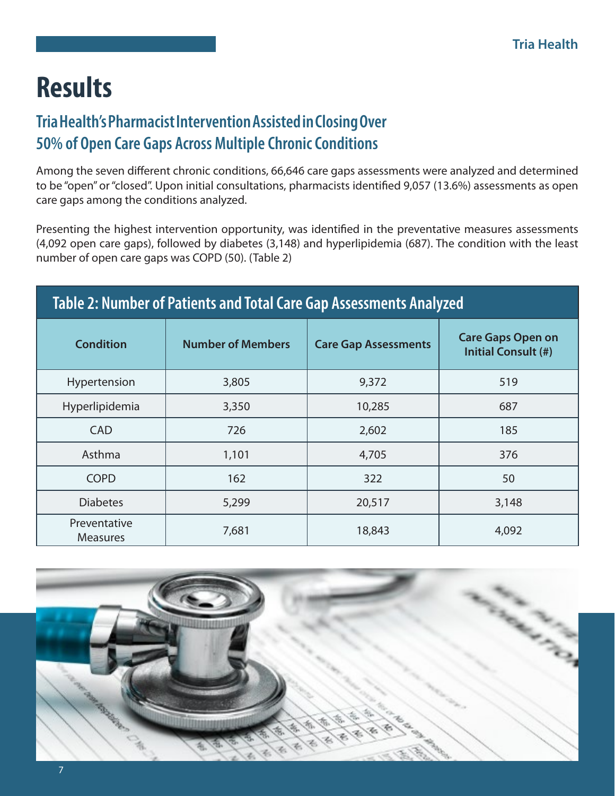## **Results**

#### **Tria Health's Pharmacist Intervention Assisted in Closing Over 50% of Open Care Gaps Across Multiple Chronic Conditions**

Among the seven different chronic conditions, 66,646 care gaps assessments were analyzed and determined to be "open" or "closed". Upon initial consultations, pharmacists identified 9,057 (13.6%) assessments as open care gaps among the conditions analyzed.

Presenting the highest intervention opportunity, was identified in the preventative measures assessments (4,092 open care gaps), followed by diabetes (3,148) and hyperlipidemia (687). The condition with the least number of open care gaps was COPD (50). (Table 2)

| Table 2: Number of Patients and Total Care Gap Assessments Analyzed |                          |                             |                                                        |  |  |  |  |
|---------------------------------------------------------------------|--------------------------|-----------------------------|--------------------------------------------------------|--|--|--|--|
| <b>Condition</b>                                                    | <b>Number of Members</b> | <b>Care Gap Assessments</b> | <b>Care Gaps Open on</b><br><b>Initial Consult (#)</b> |  |  |  |  |
| Hypertension                                                        | 3,805                    | 9,372                       | 519                                                    |  |  |  |  |
| Hyperlipidemia                                                      | 3,350                    | 10,285                      | 687                                                    |  |  |  |  |
| <b>CAD</b>                                                          | 726                      | 2,602                       | 185                                                    |  |  |  |  |
| Asthma                                                              | 1,101                    | 4,705                       | 376                                                    |  |  |  |  |
| <b>COPD</b>                                                         | 162                      | 322                         | 50                                                     |  |  |  |  |
| <b>Diabetes</b>                                                     | 5,299                    | 20,517                      | 3,148                                                  |  |  |  |  |
| Preventative<br><b>Measures</b>                                     | 7,681                    | 18,843                      | 4,092                                                  |  |  |  |  |

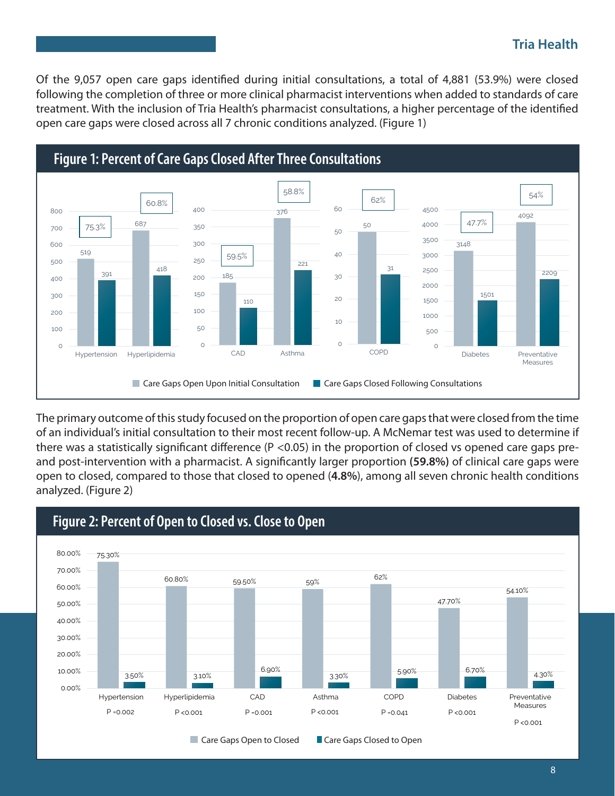#### **Tria Health**

Of the 9,057 open care gaps identified during initial consultations, a total of 4,881 (53.9%) were closed following the completion of three or more clinical pharmacist interventions when added to standards of care treatment. With the inclusion of Tria Health's pharmacist consultations, a higher percentage of the identified open care gaps were closed across all 7 chronic conditions analyzed. (Figure 1)



The primary outcome of this study focused on the proportion of open care gaps that were closed from the time of an individual's initial consultation to their most recent follow-up. A McNemar test was used to determine if there was a statistically significant difference (P <0.05) in the proportion of closed vs opened care gaps preand post-intervention with a pharmacist. A significantly larger proportion **(59.8%)** of clinical care gaps were open to closed, compared to those that closed to opened (**4.8%**), among all seven chronic health conditions analyzed. (Figure 2)



#### **Figure 2: Percent of Open to Closed vs. Close to Open**

Care Gaps Open to Closed **Care Gaps Closed to Open**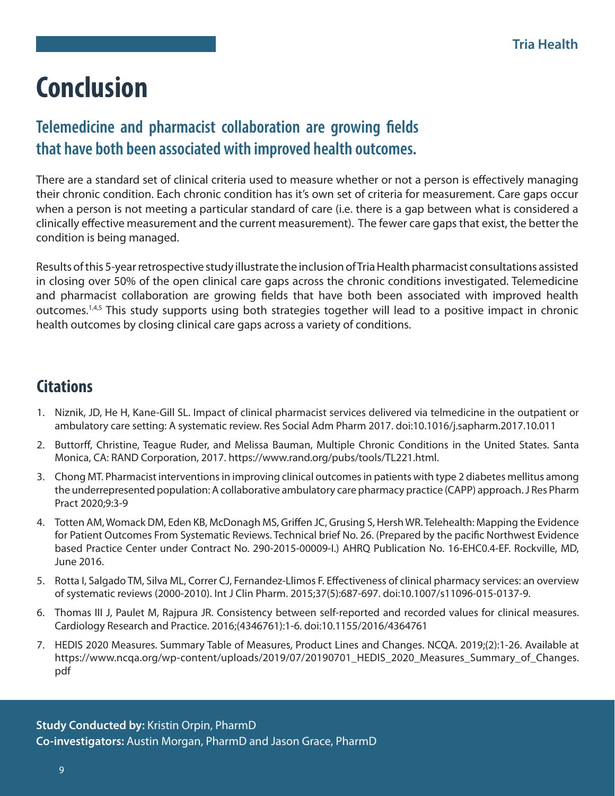### **Conclusion**

#### **Telemedicine and pharmacist collaboration are growing fields that have both been associated with improved health outcomes.**

There are a standard set of clinical criteria used to measure whether or not a person is effectively managing their chronic condition. Each chronic condition has it's own set of criteria for measurement. Care gaps occur when a person is not meeting a particular standard of care (i.e. there is a gap between what is considered a clinically effective measurement and the current measurement). The fewer care gaps that exist, the better the condition is being managed.

Results of this 5-year retrospective study illustrate the inclusion of Tria Health pharmacist consultations assisted in closing over 50% of the open clinical care gaps across the chronic conditions investigated. Telemedicine and pharmacist collaboration are growing fields that have both been associated with improved health outcomes.<sup>1,4,5</sup> This study supports using both strategies together will lead to a positive impact in chronic health outcomes by closing clinical care gaps across a variety of conditions.

#### **Citations**

- 1. Niznik, JD, He H, Kane-Gill SL. Impact of clinical pharmacist services delivered via telmedicine in the outpatient or ambulatory care setting: A systematic review. Res Social Adm Pharm 2017. doi:10.1016/j.sapharm.2017.10.011
- 2. Buttorff, Christine, Teague Ruder, and Melissa Bauman, Multiple Chronic Conditions in the United States. Santa Monica, CA: RAND Corporation, 2017. https://www.rand.org/pubs/tools/TL221.html.
- 3. Chong MT. Pharmacist interventions in improving clinical outcomes in patients with type 2 diabetes mellitus among the underrepresented population: A collaborative ambulatory care pharmacy practice (CAPP) approach. J Res Pharm Pract 2020;9:3-9
- 4. Totten AM, Womack DM, Eden KB, McDonagh MS, Griffen JC, Grusing S, Hersh WR. Telehealth: Mapping the Evidence for Patient Outcomes From Systematic Reviews. Technical brief No. 26. (Prepared by the pacific Northwest Evidence based Practice Center under Contract No. 290-2015-00009-I.) AHRQ Publication No. 16-EHC0.4-EF. Rockville, MD, June 2016.
- 5. Rotta I, Salgado TM, Silva ML, Correr CJ, Fernandez-Llimos F. Effectiveness of clinical pharmacy services: an overview of systematic reviews (2000-2010). Int J Clin Pharm. 2015;37(5):687-697. doi:10.1007/s11096-015-0137-9.
- 6. Thomas III J, Paulet M, Rajpura JR. Consistency between self-reported and recorded values for clinical measures. Cardiology Research and Practice. 2016;(4346761):1-6. doi:10.1155/2016/4364761
- 7. HEDIS 2020 Measures. Summary Table of Measures, Product Lines and Changes. NCQA. 2019;(2):1-26. Available at https://www.ncqa.org/wp-content/uploads/2019/07/20190701\_HEDIS\_2020\_Measures\_Summary\_of\_Changes. pdf

**Study Conducted by:** Kristin Orpin, PharmD **Co-investigators:** Austin Morgan, PharmD and Jason Grace, PharmD